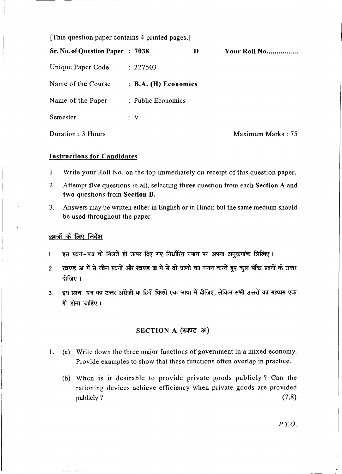[This question paper contains 4 printed pages.]

| <b>Sr. No. of Question Paper : 7038</b> |                      | Ð | Your Roll No      |
|-----------------------------------------|----------------------|---|-------------------|
| Unique Paper Code                       | : 227503             |   |                   |
| Name of the Course                      | : B.A. (H) Economics |   |                   |
| Name of the Paper                       | : Public Economics   |   |                   |
| Semester                                | $\colon$ V           |   |                   |
| Duration : 3 Hours                      |                      |   | Maximum Marks: 75 |

## Instructions for Candidates

- 1. Write your Roll No. on the top immediately on receipt of this question paper.
- 2. Attempt five questions in all, selecting three question from each Section A and two questions from Section B.
- 3. Answers may be written either in English or in Hindi; but the same medium should be used throughout the paper.

## छात्रों के लिए निर्देश

- 1. इस प्रश्न-पत्र के मिलते ही ऊपर दिए गए निर्धारित स्थान पर अपना अनुक्रमांक लिखिए।
- 2. रवण्ड अ में से तीन प्रश्नों और खण्ड ब में से दो प्रश्नों का चयन करते हुए कुल पाँच प्रश्नों के उत्तर दीजिए।
- 3. \_ इस प्रश्न-पत्र का उत्तर अंग्रेजी या हिंदी किसी एक भाषा में दीजिए, लेकिन सभी उत्तरों का माध्यम एक ही होना चाहिए।

## SECTION A (खण्ड अ)

- 1. (a) Write down the three major functions of government in a mixed economy. Provide examples to show that these functions often overlap in practice.
	- (b) When is it desirable to provide private goods publicly? Can the rationing devices achieve efficiency when private goods are provided publicly?  $(7,8)$

P. T.O.

 $\mathcal{A}$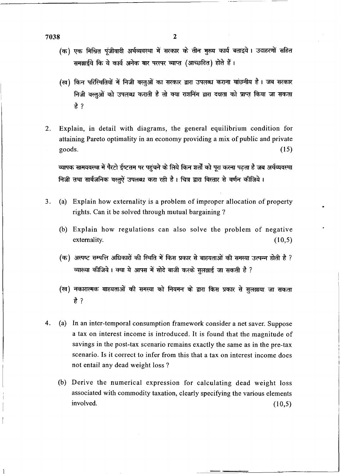7038 2

- $\frac{1}{1038}$ <br>(क) एक मिश्रित पुंजीवादी अर्थव्यवस्था में सरकार के तीन मुख्य कार्य बताइये। उदाहरणों सहित समझाईये कि ये कार्य अनेक बार परस्पर व्याप्त (आच्छदित) होते हैं।
	- (ख) किन परिस्थितियों में निजी वस्तुओं का सरकार द्वारा उपलब्ध कराना वांछनीय है। जब सरकार निजी वस्तुओं को उपलब्ध कराती है तो क्या राशनिंग द्वारा दक्षता को प्राप्त किया जा सकता *t?*
- 2. Explain, in detail with diagrams, the general equilibrium condition for attaining Pareto optimality in an economy providing a mix of public and private  $\text{goods.}$  (15) goods.<br>व्यापक सामयवस्था में पैरटो ईष्टतम पर पहंचने के लिये किन शर्तों को परा करना पढता है जब अर्थव्यवस्था

निजी तथा सार्वजनिक वस्तुऐं उपलब्ध करा रही है। चित्र द्वारा विस्तार से वर्णन कीजिये।

- 3. (a) Explain how externality is a problem of improper allocation of property rights. Can it be solved through mutual bargaining ?
	- (b) Explain how regulations can also solve the problem of negative externality. (10,5)
	- (क) अस्पष्ट सम्पत्ति अधिकारों की स्थिति में किस प्रकार से बाहयताओं की समस्या उत्पन्न होती है ? व्याख्या कीजिये। क्या ये आपस में सोदे बाजी करके सुलझाई जा सकती है ?
	- (ख) नकारात्मक बाहयताओं की समस्या को नियमन के द्वारा किस प्रकार से सुलझाया जा सकता *t?*
- 4. (a) In an inter-temporal consumption framework consider a net saver. Suppose a tax on interest income is introduced. It is found that the magnitude of savings in the post-tax scenario remains exactly the same as in the pre-tax scenario. Is it correct to infer from this that a tax on interest income does not entail any dead weight loss ?
	- (b) Derive the numerical expression for calculating dead weight loss associated with commodity taxation, clearly specifying the various elements  $involved.$  (10,5)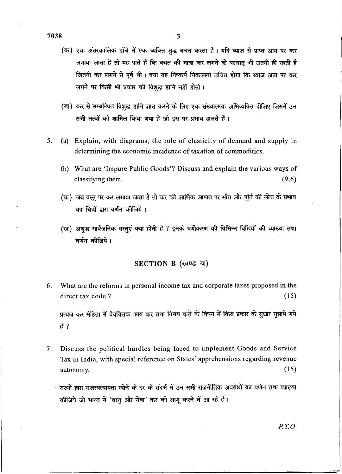- (क) एक अंतरकालिक ढाँचे में एक व्यक्ति शुद्ध बचत करता है। यदि ब्याज से प्राप्त आय पर कर लगाया जाता है तो यह पाते हैं कि बचत की मात्रा कर लगने के पश्चात भी उतनी ही रहती है जितनी कर लगने से पूर्व थी। क्या यह निष्कर्ष निकालना उचित होगा कि ब्याज आय पर कर लगने पर किसी भी प्रकार की विशुद्ध हानि नहीं होती।
- (ख) कर से सम्बन्धित विशुद्ध हानि ज्ञात करने के लिए एक संख्यात्मक अभिव्यक्ति दीजिए जिसमें उन सभी तत्वों को शामिल किया गया है जो इस पर प्रभाव डालते हैं।
- 5. (a) Explain, with diagrams, the role of elasticity of demand and supply in determining the economic incidence of taxation of commodities.
	- (b) What are 'Impure Public Goods'? Discuss and explain the various ways of classifying them.  $(9,6)$
	- (क) जब वस्तु पर कर लगाया जाता है तो कर की आर्थिक आपात पर माँग और पूर्ति की लोच के प्रभाव का चित्रों द्वारा वर्णन कीजिये।
	- (ख) अशुद्ध सार्वजनिक वस्तुएं क्या होती है ? इनके वर्गीकरण की विभिन्न विधियों की व्याख्या तथा वर्णन कीजिये।

## SECTION B (खण्ड ब)

What are the reforms in personal income tax and corporate taxes proposed in the 6. direct tax code?  $(15)$ 

प्रत्यक्ष कर संहिता में वैयक्तिक आय कर तथा निगम करो के विषय में किस प्रकार के सुधार सुझाये गये हैं ?

- $7:$ Discuss the political hurdles being faced to implement Goods and Service Tax in India, with special reference on States' apprehensions regarding revenue  $(15)$ autonomy.
	- राज्यों द्वारा राजस्वस्वायता खोने के डर के संदर्भ में उन सभी राजनीतिक अवरोधों का वर्णन तथा व्याख्या कीजिये जो भारत में 'वस्तु और सेवा' कर को लागू करने में आ रहे है ।

 $P.T.O.$